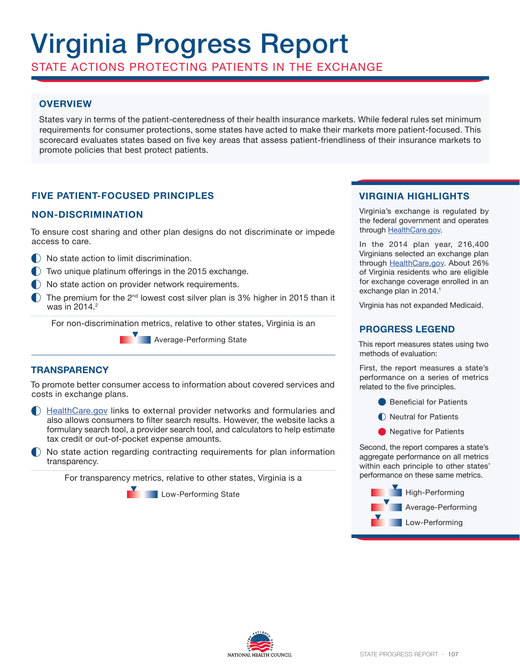# Virginia Progress Report

STATE ACTIONS PROTECTING PATIENTS IN THE EXCHANGE

# **OVERVIEW**

States vary in terms of the patient-centeredness of their health insurance markets. While federal rules set minimum requirements for consumer protections, some states have acted to make their markets more patient-focused. This scorecard evaluates states based on five key areas that assess patient-friendliness of their insurance markets to promote policies that best protect patients.

## **FIVE PATIENT-FOCUSED PRINCIPLES**

## **NON-DISCRIMINATION**

To ensure cost sharing and other plan designs do not discriminate or impede access to care.

- $\bigcap$  No state action to limit discrimination.
- Two unique platinum offerings in the 2015 exchange.
- $\Box$  No state action on provider network requirements.
- $\Box$  The premium for the 2<sup>nd</sup> lowest cost silver plan is 3% higher in 2015 than it was in 2014.<sup>2</sup>

For non-discrimination metrics, relative to other states, Virginia is an

**Average-Performing State** 

## **TRANSPARENCY**

To promote better consumer access to information about covered services and costs in exchange plans.

- HealthCare.gov links to external provider networks and formularies and also allows consumers to filter search results. However, the website lacks a formulary search tool, a provider search tool, and calculators to help estimate tax credit or out-of-pocket expense amounts.
- No state action regarding contracting requirements for plan information transparency.

For transparency metrics, relative to other states, Virginia is a

**Low-Performing State** 

## **VIRGINIA HIGHLIGHTS**

Virginia's exchange is regulated by the federal government and operates through HealthCare.gov.

In the 2014 plan year, 216,400 Virginians selected an exchange plan through HealthCare.gov. About 26% of Virginia residents who are eligible for exchange coverage enrolled in an exchange plan in 2014.<sup>1</sup>

Virginia has not expanded Medicaid.

## **PROGRESS LEGEND**

This report measures states using two methods of evaluation:

First, the report measures a state's performance on a series of metrics related to the five principles.

- **Beneficial for Patients**
- Neutral for Patients
- **O** Negative for Patients

Second, the report compares a state's aggregate performance on all metrics within each principle to other states' performance on these same metrics.